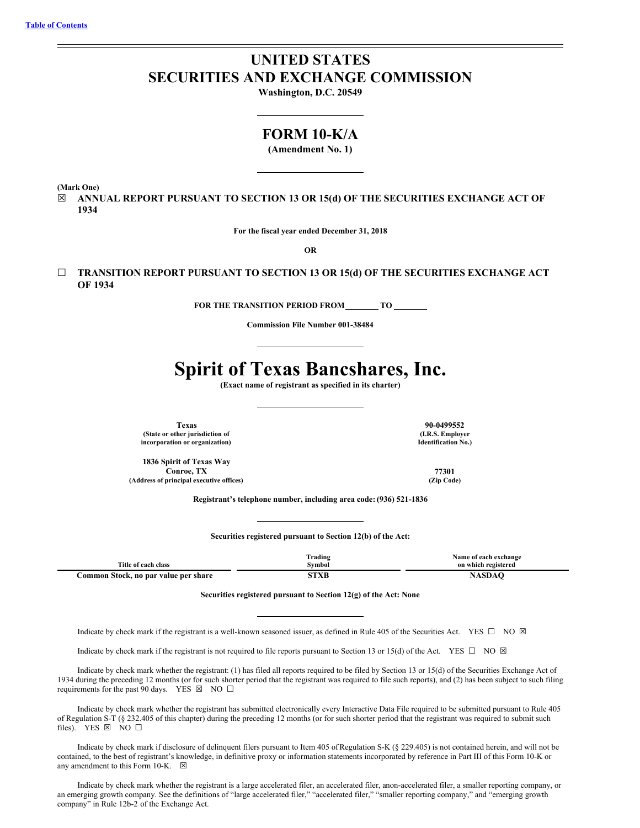# **UNITED STATES SECURITIES AND EXCHANGE COMMISSION**

**Washington, D.C. 20549**

## **FORM 10-K/A**

**(Amendment No. 1)**

**(Mark One)**

☒ **ANNUAL REPORT PURSUANT TO SECTION 13 OR 15(d) OF THE SECURITIES EXCHANGE ACT OF 1934**

**For the fiscal year ended December 31, 2018**

**OR**

☐ **TRANSITION REPORT PURSUANT TO SECTION 13 OR 15(d) OF THE SECURITIES EXCHANGE ACT OF 1934**

**FOR THE TRANSITION PERIOD FROM TO**

**Commission File Number 001-38484**

# **Spirit of Texas Bancshares, Inc.**

**(Exact name of registrant as specified in its charter)**

**Texas 90-0499552 (State or other jurisdiction of incorporation or organization)**

**1836 Spirit of Texas Way Conroe, TX 77301 (Address of principal executive offices) (Zip Code)**

**(I.R.S. Employer Identification No.)**

**Registrant's telephone number, including area code: (936) 521-1836**

**Securities registered pursuant to Section 12(b) of the Act:**

|                                      | m.<br>frading | Name of each exchange |
|--------------------------------------|---------------|-----------------------|
| Title of each class                  | Svmbol        | on which registered   |
| Common Stock, no par value per share | <b>STRAIN</b> |                       |

#### **Securities registered pursuant to Section 12(g) of the Act: None**

Indicate by check mark if the registrant is a well-known seasoned issuer, as defined in Rule 405 of the Securities Act. YES  $\square$  NO  $\boxtimes$ 

Indicate by check mark if the registrant is not required to file reports pursuant to Section 13 or 15(d) of the Act. YES  $\Box$  NO  $\boxtimes$ 

Indicate by check mark whether the registrant: (1) has filed all reports required to be filed by Section 13 or 15(d) of the Securities Exchange Act of 1934 during the preceding 12 months (or for such shorter period that the registrant was required to file such reports), and (2) has been subject to such filing requirements for the past 90 days. YES  $\boxtimes$  NO  $\Box$ 

Indicate by check mark whether the registrant has submitted electronically every Interactive Data File required to be submitted pursuant to Rule 405 of Regulation S-T (§ 232.405 of this chapter) during the preceding 12 months (or for such shorter period that the registrant was required to submit such files). YES  $\boxtimes$  NO  $\square$ 

Indicate by check mark if disclosure of delinquent filers pursuant to Item 405 ofRegulation S-K (§ 229.405) is not contained herein, and will not be contained, to the best of registrant's knowledge, in definitive proxy or information statements incorporated by reference in Part III of this Form 10-K or any amendment to this Form 10-K.  $\boxtimes$ 

Indicate by check mark whether the registrant is a large accelerated filer, an accelerated filer, anon-accelerated filer, a smaller reporting company, or an emerging growth company. See the definitions of "large accelerated filer," "accelerated filer," "smaller reporting company," and "emerging growth company" in Rule 12b-2 of the Exchange Act.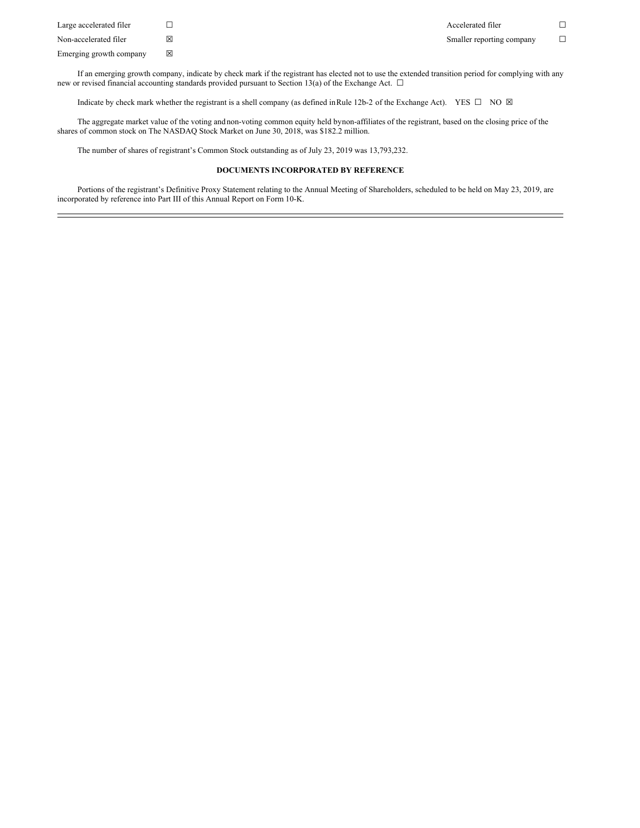| Large accelerated filer | $\Box$ |
|-------------------------|--------|
| Non-accelerated filer   | ⊠      |
| Emerging growth company | ⊠      |

If an emerging growth company, indicate by check mark if the registrant has elected not to use the extended transition period for complying with any new or revised financial accounting standards provided pursuant to Section 13(a) of the Exchange Act. □

Indicate by check mark whether the registrant is a shell company (as defined in Rule 12b-2 of the Exchange Act). YES  $\Box$  NO  $\boxtimes$ 

The aggregate market value of the voting and non-voting common equity held bynon-affiliates of the registrant, based on the closing price of the shares of common stock on The NASDAQ Stock Market on June 30, 2018, was \$182.2 million.

The number of shares of registrant's Common Stock outstanding as of July 23, 2019 was 13,793,232.

#### **DOCUMENTS INCORPORATED BY REFERENCE**

Portions of the registrant's Definitive Proxy Statement relating to the Annual Meeting of Shareholders, scheduled to be held on May 23, 2019, are incorporated by reference into Part III of this Annual Report on Form 10-K.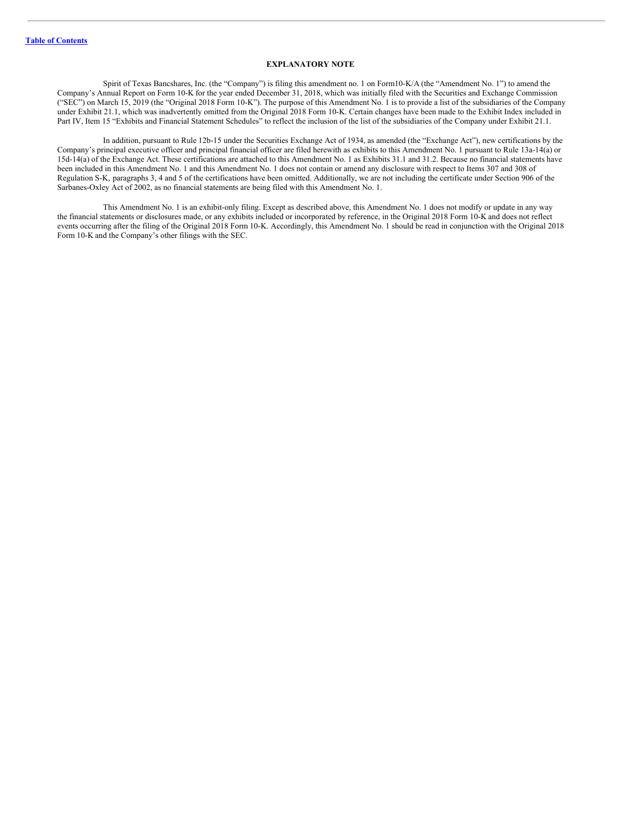#### **EXPLANATORY NOTE**

Spirit of Texas Bancshares, Inc. (the "Company") is filing this amendment no. 1 on Form10-K/A (the "Amendment No. 1") to amend the Company's Annual Report on Form 10-K for the year ended December 31, 2018, which was initially filed with the Securities and Exchange Commission ("SEC") on March 15, 2019 (the "Original 2018 Form 10-K"). The purpose of this Amendment No. 1 is to provide a list of the subsidiaries of the Company under Exhibit 21.1, which was inadvertently omitted from the Original 2018 Form 10-K. Certain changes have been made to the Exhibit Index included in Part IV, Item 15 "Exhibits and Financial Statement Schedules" to reflect the inclusion of the list of the subsidiaries of the Company under Exhibit 21.1.

In addition, pursuant to Rule 12b-15 under the Securities Exchange Act of 1934, as amended (the "Exchange Act"), new certifications by the Company's principal executive officer and principal financial officer are filed herewith as exhibits to this Amendment No. 1 pursuant to Rule 13a-14(a) or 15d-14(a) of the Exchange Act. These certifications are attached to this Amendment No. 1 as Exhibits 31.1 and 31.2. Because no financial statements have been included in this Amendment No. 1 and this Amendment No. 1 does not contain or amend any disclosure with respect to Items 307 and 308 of Regulation S-K, paragraphs 3, 4 and 5 of the certifications have been omitted. Additionally, we are not including the certificate under Section 906 of the Sarbanes-Oxley Act of 2002, as no financial statements are being filed with this Amendment No. 1.

This Amendment No. 1 is an exhibit-only filing. Except as described above, this Amendment No. 1 does not modify or update in any way the financial statements or disclosures made, or any exhibits included or incorporated by reference, in the Original 2018 Form 10-K and does not reflect events occurring after the filing of the Original 2018 Form 10-K. Accordingly, this Amendment No. 1 should be read in conjunction with the Original 2018 Form 10-K and the Company's other filings with the SEC.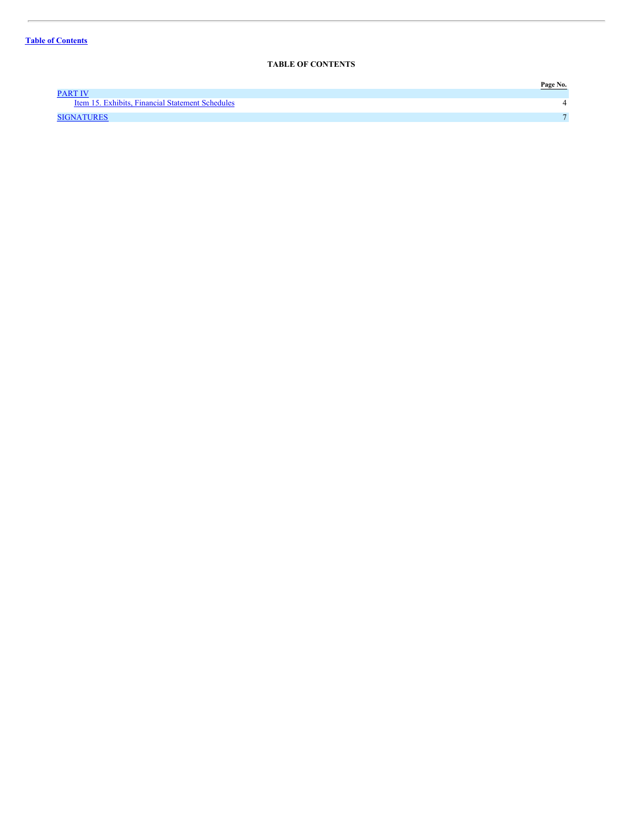### <span id="page-3-0"></span>**TABLE OF CONTENTS**

|                                                  | Page No.     |
|--------------------------------------------------|--------------|
| PART IV                                          |              |
| Item 15. Exhibits, Financial Statement Schedules |              |
| SIGNATURES                                       | $\mathbf{r}$ |
|                                                  |              |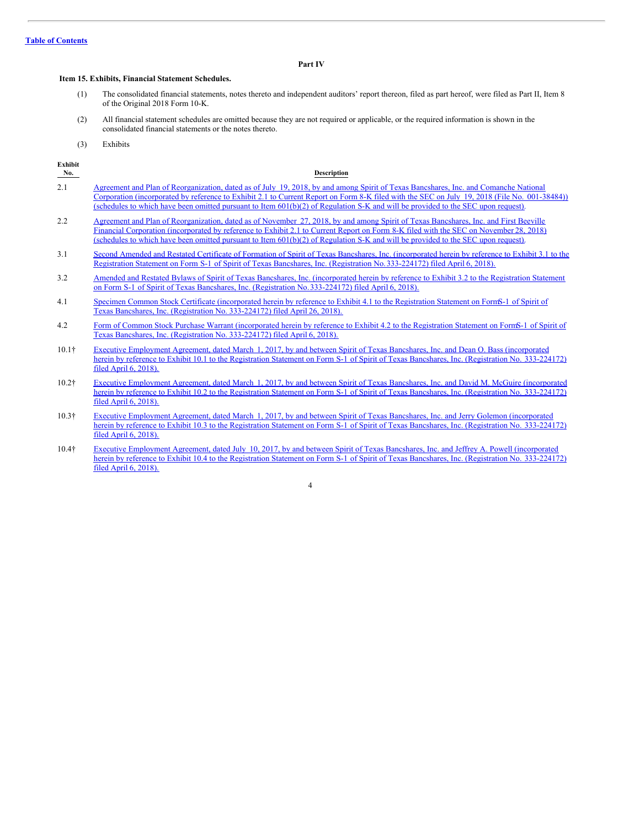#### <span id="page-4-0"></span>**Part IV**

#### <span id="page-4-1"></span>**Item 15. Exhibits, Financial Statement Schedules.**

- (1) The consolidated financial statements, notes thereto and independent auditors' report thereon, filed as part hereof, were filed as Part II, Item 8 of the Original 2018 Form 10-K.
- (2) All financial statement schedules are omitted because they are not required or applicable, or the required information is shown in the consolidated financial statements or the notes thereto.
- (3) Exhibits

| <b>Exhibit</b><br>No. | <b>Description</b>                                                                                                                                                                                                                                                                                                                                                                                                             |
|-----------------------|--------------------------------------------------------------------------------------------------------------------------------------------------------------------------------------------------------------------------------------------------------------------------------------------------------------------------------------------------------------------------------------------------------------------------------|
| 2.1                   | Agreement and Plan of Reorganization, dated as of July 19, 2018, by and among Spirit of Texas Bancshares, Inc. and Comanche National<br>Corporation (incorporated by reference to Exhibit 2.1 to Current Report on Form 8-K filed with the SEC on July 19, 2018 (File No. 001-38484))<br>(schedules to which have been omitted pursuant to Item $601(b)(2)$ ) of Regulation S-K and will be provided to the SEC upon request). |
| 2.2                   | Agreement and Plan of Reorganization, dated as of November 27, 2018, by and among Spirit of Texas Bancshares, Inc. and First Beeville<br>Financial Corporation (incorporated by reference to Exhibit 2.1 to Current Report on Form 8-K filed with the SEC on November 28, 2018)<br>(schedules to which have been omitted pursuant to Item $601(b)(2)$ ) of Regulation S-K and will be provided to the SEC upon request).       |
| 3.1                   | Second Amended and Restated Certificate of Formation of Spirit of Texas Bancshares, Inc. (incorporated herein by reference to Exhibit 3.1 to the<br>Registration Statement on Form S-1 of Spirit of Texas Bancshares, Inc. (Registration No. 333-224172) filed April 6, 2018).                                                                                                                                                 |
| 3.2                   | Amended and Restated Bylaws of Spirit of Texas Bancshares, Inc. (incorporated herein by reference to Exhibit 3.2 to the Registration Statement<br>on Form S-1 of Spirit of Texas Bancshares, Inc. (Registration No. 333-224172) filed April 6, 2018).                                                                                                                                                                          |
| 4.1                   | Specimen Common Stock Certificate (incorporated herein by reference to Exhibit 4.1 to the Registration Statement on FormS-1 of Spirit of<br>Texas Bancshares, Inc. (Registration No. 333-224172) filed April 26, 2018).                                                                                                                                                                                                        |
| 4.2                   | Form of Common Stock Purchase Warrant (incorporated herein by reference to Exhibit 4.2 to the Registration Statement on FormS-1 of Spirit of<br>Texas Bancshares, Inc. (Registration No. 333-224172) filed April 6, 2018).                                                                                                                                                                                                     |

- 10.1† Executive Employment Agreement, dated March 1, 2017, by and between Spirit of Texas Bancshares, Inc. and Dean O. Bass [\(incorporated](http://www.sec.gov/Archives/edgar/data/1499453/000119312518109689/d351576dex101.htm) herein by reference to Exhibit 10.1 to the Registration Statement on Form S-1 of Spirit of Texas Bancshares, Inc. (Registration No. 333-224172) filed April 6, 2018).
- 10.2† Executive Employment Agreement, dated March 1, 2017, by and between Spirit of Texas Bancshares, Inc. and David M. McGuire [\(incorporated](http://www.sec.gov/Archives/edgar/data/1499453/000119312518109689/d351576dex102.htm) herein by reference to Exhibit 10.2 to the Registration Statement on Form S-1 of Spirit of Texas Bancshares, Inc. (Registration No. 333-224172) filed April 6, 2018).
- 10.3† Executive Employment Agreement, dated March 1, 2017, by and between Spirit of Texas Bancshares, Inc. and Jerry Golemon [\(incorporated](http://www.sec.gov/Archives/edgar/data/1499453/000119312518109689/d351576dex103.htm) herein by reference to Exhibit 10.3 to the Registration Statement on Form S-1 of Spirit of Texas Bancshares, Inc. (Registration No. 333-224172) filed April 6, 2018).
- 10.4† Executive Employment Agreement, dated July 10, 2017, by and between Spirit of Texas Bancshares, Inc. and Jeffrey A. Powell [\(incorporated](http://www.sec.gov/Archives/edgar/data/1499453/000119312518109689/d351576dex104.htm) herein by reference to Exhibit 10.4 to the Registration Statement on Form S-1 of Spirit of Texas Bancshares, Inc. (Registration No. 333-224172) filed April 6, 2018).

4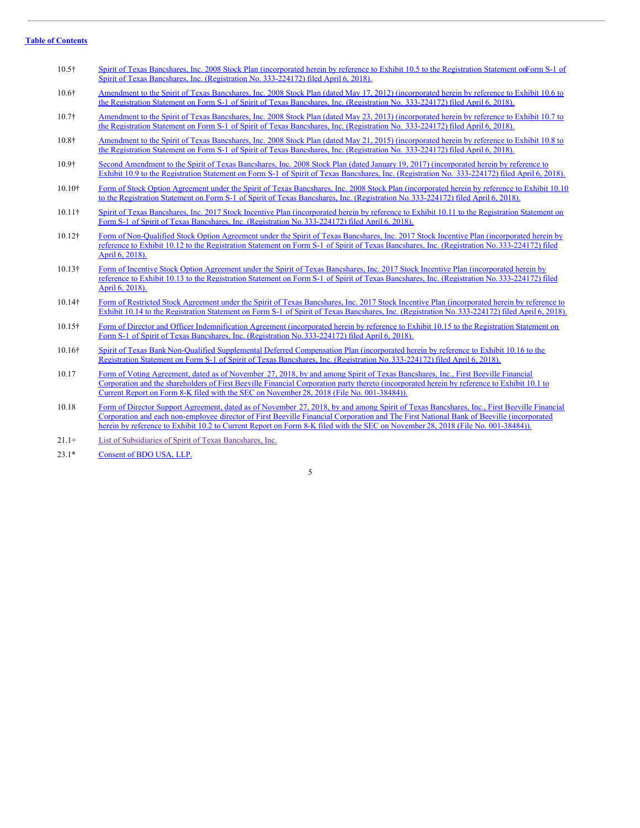#### **Table of [Contents](#page-3-0)**

- 10.5† Spirit of Texas Bancshares, Inc. 2008 Stock Plan [\(incorporated](http://www.sec.gov/Archives/edgar/data/1499453/000119312518109689/d351576dex105.htm) herein by reference to Exhibit 10.5 to the Registration Statement onForm S-1 of Spirit of Texas Bancshares, Inc. (Registration No. 333-224172) filed April 6, 2018).
- 10.6† Amendment to the Spirit of Texas Bancshares, Inc. 2008 Stock Plan (dated May 17, 2012) [\(incorporated](http://www.sec.gov/Archives/edgar/data/1499453/000119312518109689/d351576dex106.htm) herein by reference to Exhibit 10.6 to the Registration Statement on Form S-1 of Spirit of Texas Bancshares, Inc. (Registration No. 333-224172) filed April 6, 2018).
- 10.7† Amendment to the Spirit of Texas Bancshares, Inc. 2008 Stock Plan (dated May 23, 2013) [\(incorporated](http://www.sec.gov/Archives/edgar/data/1499453/000119312518109689/d351576dex107.htm) herein by reference to Exhibit 10.7 to the Registration Statement on Form S-1 of Spirit of Texas Bancshares, Inc. (Registration No. 333-224172) filed April 6, 2018).
- 10.8† Amendment to the Spirit of Texas Bancshares, Inc. 2008 Stock Plan (dated May 21, 2015) [\(incorporated](http://www.sec.gov/Archives/edgar/data/1499453/000119312518109689/d351576dex108.htm) herein by reference to Exhibit 10.8 to the Registration Statement on Form S-1 of Spirit of Texas Bancshares, Inc. (Registration No. 333-224172) filed April 6, 2018).
- 10.9† Second Amendment to the Spirit of Texas Bancshares, Inc. 2008 Stock Plan (dated January 19, 2017) [\(incorporated](http://www.sec.gov/Archives/edgar/data/1499453/000119312518109689/d351576dex109.htm) herein by reference to Exhibit 10.9 to the Registration Statement on Form S-1 of Spirit of Texas Bancshares, Inc. (Registration No. 333-224172) filed April 6, 2018).
- 10.10† Form of Stock Option Agreement under the Spirit of Texas Bancshares, Inc. 2008 Stock Plan (incorporated herein by reference to Exhibit 10.10 to the Registration Statement on Form S-1 of Spirit of Texas Bancshares, Inc. (Registration No. 333-224172) filed April 6, 2018).
- 10.11† Spirit of Texas Bancshares, Inc. 2017 Stock Incentive Plan (incorporated herein by reference to Exhibit 10.11 to the Registration Statement on Form S-1 of Spirit of Texas Bancshares, Inc. (Registration [No.333-224172\)](http://www.sec.gov/Archives/edgar/data/1499453/000119312518109689/d351576dex1011.htm) filed April 6, 2018).
- 10.12† Form of Non-Qualified Stock Option Agreement under the Spirit of Texas Bancshares, Inc. 2017 Stock Incentive Plan (incorporated herein by reference to Exhibit 10.12 to the Registration Statement on Form S-1 of Spirit of Texas Bancshares, Inc. (Registration [No.333-224172\)](http://www.sec.gov/Archives/edgar/data/1499453/000119312518109689/d351576dex1012.htm) filed April 6, 2018).
- 10.13† Form of Incentive Stock Option Agreement under the Spirit of Texas Bancshares, Inc. 2017 Stock Incentive Plan (incorporated herein by reference to Exhibit 10.13 to the Registration Statement on Form S-1 of Spirit of Texas Bancshares, Inc. (Registration [No.333-224172\)](http://www.sec.gov/Archives/edgar/data/1499453/000119312518109689/d351576dex1013.htm) filed April 6, 2018).
- 10.14† Form of Restricted Stock Agreement under the Spirit of Texas Bancshares, Inc. 2017 Stock Incentive Plan (incorporated herein by reference to Exhibit 10.14 to the Registration Statement on Form S-1 of Spirit of Texas Bancshares, Inc. (Registration [No.333-224172\)](http://www.sec.gov/Archives/edgar/data/1499453/000119312518109689/d351576dex1014.htm) filed April 6, 2018).
- 10.15† Form of Director and Officer Indemnification Agreement (incorporated herein by reference to Exhibit 10.15 to the Registration Statement on Form S-1 of Spirit of Texas Bancshares, Inc. (Registration [No.333-224172\)](http://www.sec.gov/Archives/edgar/data/1499453/000119312518109689/d351576dex1015.htm) filed April 6, 2018).
- 10.16† Spirit of Texas Bank Non-Qualified Supplemental Deferred Compensation Plan (incorporated herein by reference to Exhibit 10.16 to the Registration Statement on Form S-1 of Spirit of Texas Bancshares, Inc. (Registration [No.333-224172\)](http://www.sec.gov/Archives/edgar/data/1499453/000119312518109689/d351576dex1016.htm) filed April 6, 2018).
- 10.17 Form of Voting Agreement, dated as of November 27, 2018, by and among Spirit of Texas Bancshares, Inc., First Beeville Financial Corporation and the shareholders of First Beeville Financial Corporation party thereto [\(incorporated](http://www.sec.gov/Archives/edgar/data/1499453/000119312518335712/d662012dex101.htm) herein by reference to Exhibit 10.1 to Current Report on Form 8-K filed with the SEC on November 28, 2018 (File No. 001-38484)).
- 10.18 Form of Director Support Agreement, dated as of November 27, 2018, by and among Spirit of Texas Bancshares, Inc., First Beeville Financial Corporation and each [non-employee](http://www.sec.gov/Archives/edgar/data/1499453/000119312518335712/d662012dex102.htm) director of First Beeville Financial Corporation and The First National Bank of Beeville (incorporated herein by reference to Exhibit 10.2 to Current Report on Form 8-K filed with the SEC on November 28, 2018 (File No. 001-38484)).
- 21.1+ List of [Subsidiaries](#page-8-0) of Spirit of Texas Bancshares, Inc.
- 23.1\* [Consent](http://www.sec.gov/Archives/edgar/data/1499453/000156459019008002/stxb-ex231_430.htm) of BDO USA, LLP.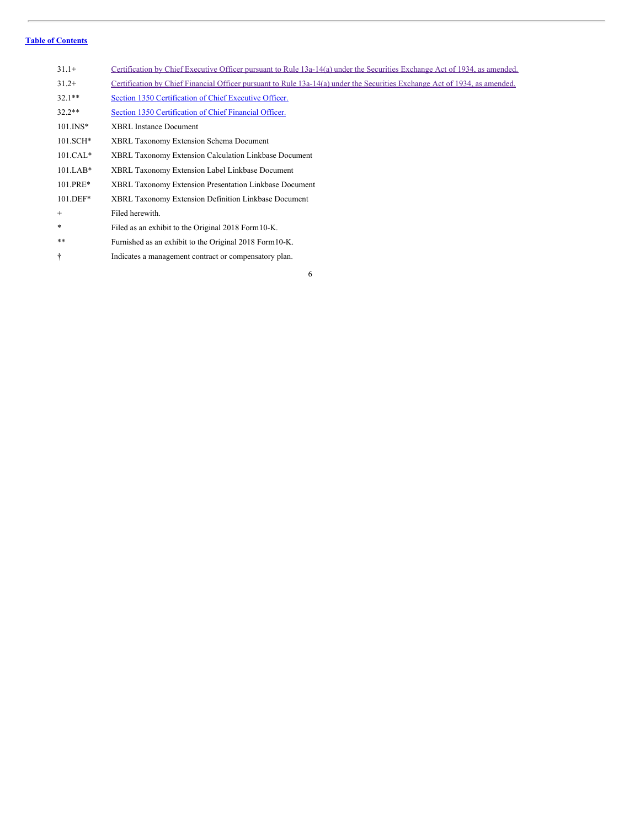#### **Table of [Contents](#page-3-0)**

| $31.1+$        | Certification by Chief Executive Officer pursuant to Rule 13a-14(a) under the Securities Exchange Act of 1934, as amended. |
|----------------|----------------------------------------------------------------------------------------------------------------------------|
| $31.2+$        | Certification by Chief Financial Officer pursuant to Rule 13a-14(a) under the Securities Exchange Act of 1934, as amended. |
| $32.1**$       | Section 1350 Certification of Chief Executive Officer.                                                                     |
| $32.2**$       | Section 1350 Certification of Chief Financial Officer.                                                                     |
| $101.$ INS*    | <b>XBRL</b> Instance Document                                                                                              |
| $101.SCH*$     | <b>XBRL Taxonomy Extension Schema Document</b>                                                                             |
| $101.CAL*$     | <b>XBRL Taxonomy Extension Calculation Linkbase Document</b>                                                               |
| $101.LAB*$     | XBRL Taxonomy Extension Label Linkbase Document                                                                            |
| 101.PRE*       | <b>XBRL Taxonomy Extension Presentation Linkbase Document</b>                                                              |
| $101.$ DEF $*$ | XBRL Taxonomy Extension Definition Linkbase Document                                                                       |
| $^{+}$         | Filed herewith.                                                                                                            |
| *              | Filed as an exhibit to the Original 2018 Form 10-K.                                                                        |
| $* *$          | Furnished as an exhibit to the Original 2018 Form 10-K.                                                                    |
|                | Indicates a management contract or compensatory plan.                                                                      |

6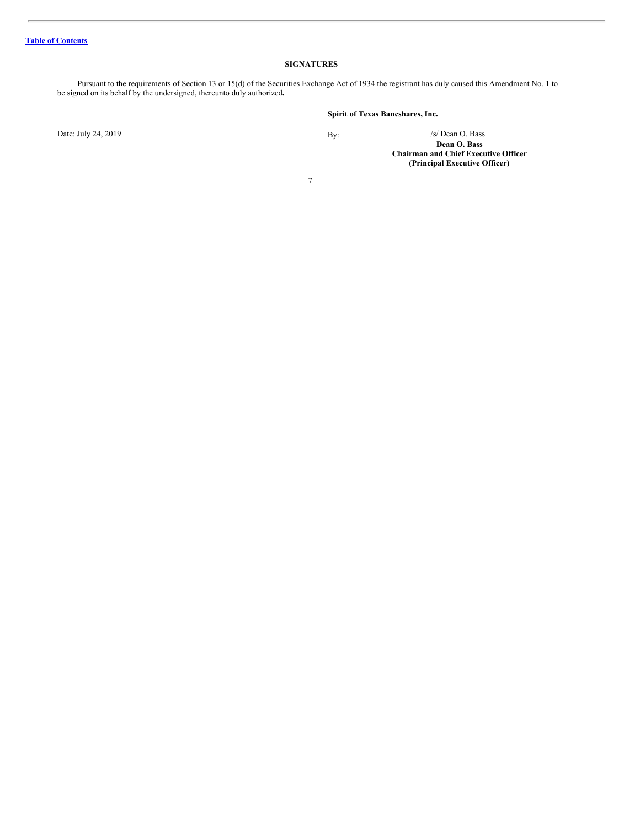#### <span id="page-7-0"></span>**SIGNATURES**

Pursuant to the requirements of Section 13 or 15(d) of the Securities Exchange Act of 1934 the registrant has duly caused this Amendment No. 1 to be signed on its behalf by the undersigned, thereunto duly authorized**.**

Date: July 24, 2019 By: 2019

**Spirit of Texas Bancshares, Inc.**

/s/ Dean O. Bass **Dean O. Bass Chairman and Chief Executive Officer (Principal Executive Officer)**

7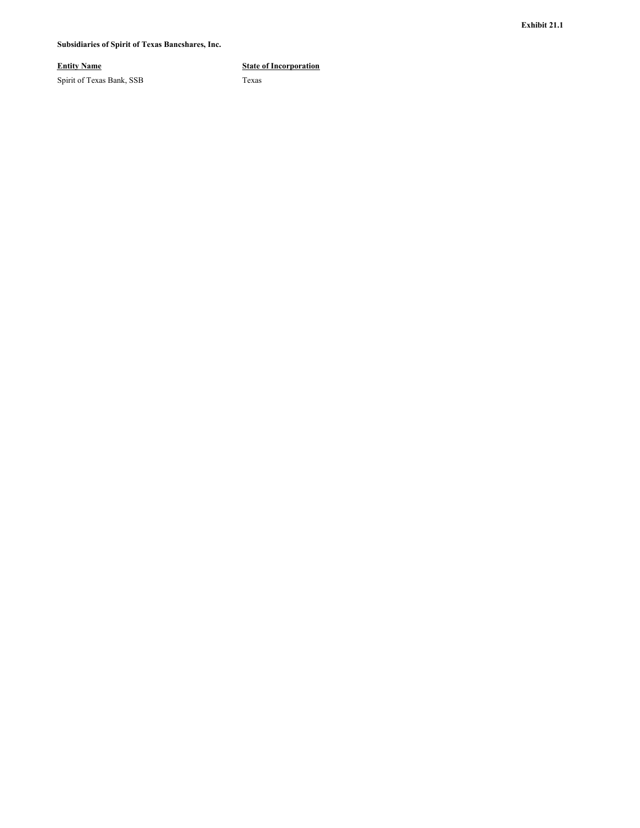#### <span id="page-8-0"></span>**Subsidiaries of Spirit of Texas Bancshares, Inc.**

Spirit of Texas Bank, SSB Texas

#### **Entity Name State of Incorporation**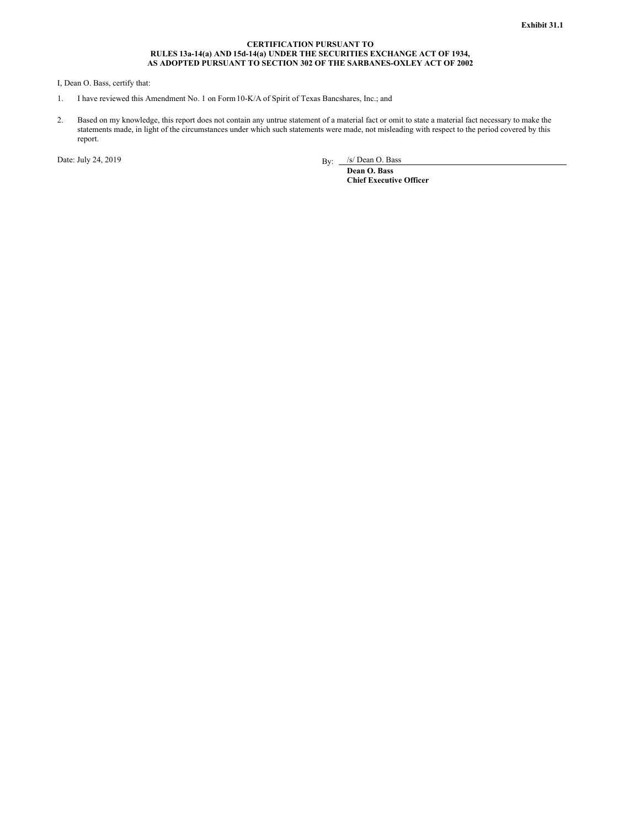#### **CERTIFICATION PURSUANT TO RULES 13a-14(a) AND 15d-14(a) UNDER THE SECURITIES EXCHANGE ACT OF 1934, AS ADOPTED PURSUANT TO SECTION 302 OF THE SARBANES-OXLEY ACT OF 2002**

<span id="page-9-0"></span>I, Dean O. Bass, certify that:

- 1. I have reviewed this Amendment No. 1 on Form10-K/A of Spirit of Texas Bancshares, Inc.; and
- 2. Based on my knowledge, this report does not contain any untrue statement of a material fact or omit to state a material fact necessary to make the statements made, in light of the circumstances under which such statements were made, not misleading with respect to the period covered by this report.

Date: July 24, 2019

By: /s/ Dean O. Bass

**Dean O. Bass Chief Executive Officer**